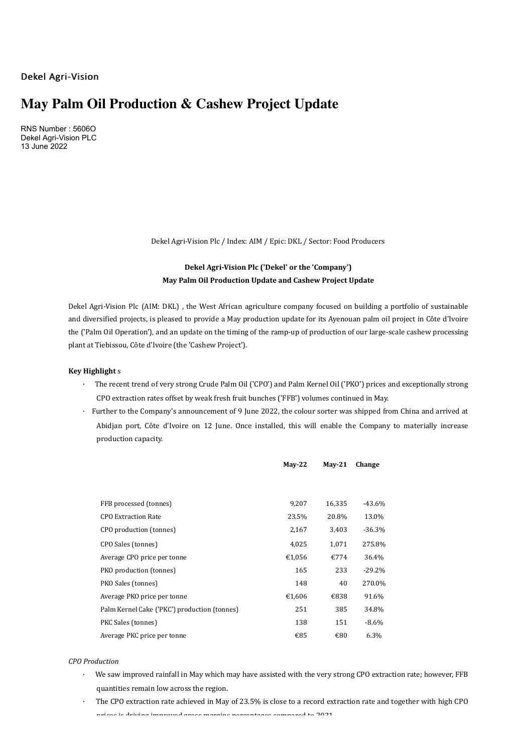Dekel Agri-Vision

# **May Palm Oil Production & Cashew Project Update**

RNS Number : 5606O Dekel Agri-Vision PLC 13 June 2022

Dekel Agri-Vision Plc / Index: AIM / Epic: DKL / Sector: Food Producers

## Dekel Agri-Vision Plc ('Dekel' or the 'Company') **May Palm Oil Production Update and Cashew Project Update**

Dekel Agri-Vision Plc (AIM: DKL), the West African agriculture company focused on building a portfolio of sustainable and diversified projects, is pleased to provide a May production update for its Ayenouan palm oil project in Côte d'Ivoire the ('Palm Oil Operation'), and an update on the timing of the ramp-up of production of our large-scale cashew processing plant at Tiebissou, Côte d'Ivoire (the 'Cashew Project').

#### **Key Highlight** s

- · The recent trend of very strong Crude Palm Oil ('CPO') and Palm Kernel Oil ('PKO') prices and exceptionally strong CPO extraction rates offset by weak fresh fruit bunches ('FFB') volumes continued in May.
- Further to the Company's announcement of 9 June 2022, the colour sorter was shipped from China and arrived at Abidjan port, Côte d'Ivoire on 12 June. Once installed, this will enable the Company to materially increase production capacity.

|                                              | $May-22$ | $May-21$ | Change    |
|----------------------------------------------|----------|----------|-----------|
|                                              |          |          |           |
| FFB processed (tonnes)                       | 9.207    | 16,335   | $-43.6\%$ |
| <b>CPO Extraction Rate</b>                   | 23.5%    | 20.8%    | 13.0%     |
| CPO production (tonnes)                      | 2,167    | 3,403    | $-36.3%$  |
| CPO Sales (tonnes)                           | 4,025    | 1,071    | 275.8%    |
| Average CPO price per tonne                  | €1,056   | €774     | 36.4%     |
| PKO production (tonnes)                      | 165      | 233      | $-29.2%$  |
| PKO Sales (tonnes)                           | 148      | 40       | 270.0%    |
| Average PKO price per tonne                  | €1,606   | €838     | 91.6%     |
| Palm Kernel Cake ('PKC') production (tonnes) | 251      | 385      | 34.8%     |
| PKC Sales (tonnes)                           | 138      | 151      | $-8.6\%$  |
| Average PKC price per tonne                  | €85      | €80      | 6.3%      |

#### *CPO Production*

- We saw improved rainfall in May which may have assisted with the very strong CPO extraction rate; however, FFB quantities remain low across the region.
- The CPO extraction rate achieved in May of 23.5% is close to a record extraction rate and together with high CPO prices is driving improved gross margins persentages compared to 2021.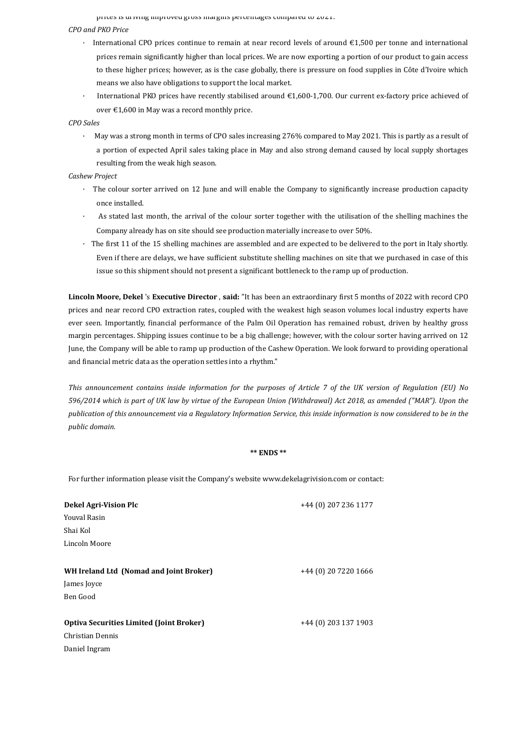prices is driving improved gross margins percentages compared to zozi.

#### *CPO and PKO Price*

- · International CPO prices continue to remain at near record levels of around €1,500 per tonne and international prices remain significantly higher than local prices. We are now exporting a portion of our product to gain access to these higher prices; however, as is the case globally, there is pressure on food supplies in Côte d'Ivoire which means we also have obligations to support the local market.
- International PKO prices have recently stabilised around  $\epsilon$ 1,600-1,700. Our current ex-factory price achieved of over  $£1,600$  in May was a record monthly price.

#### *CPO Sales*

May was a strong month in terms of CPO sales increasing 276% compared to May 2021. This is partly as a result of a portion of expected April sales taking place in May and also strong demand caused by local supply shortages resulting from the weak high season.

#### *Cashew Project*

- · The colour sorter arrived on 12 June and will enable the Company to significantly increase production capacity once installed.
- As stated last month, the arrival of the colour sorter together with the utilisation of the shelling machines the Company already has on site should see production materially increase to over 50%.
- · The first 11 of the 15 shelling machines are assembled and are expected to be delivered to the port in Italy shortly. Even if there are delays, we have sufficient substitute shelling machines on site that we purchased in case of this issue so this shipment should not present a significant bottleneck to the ramp up of production.

Lincoln Moore, Dekel 's Executive Director, said: "It has been an extraordinary first 5 months of 2022 with record CPO prices and near record CPO extraction rates, coupled with the weakest high season volumes local industry experts have ever seen. Importantly, financial performance of the Palm Oil Operation has remained robust, driven by healthy gross margin percentages. Shipping issues continue to be a big challenge; however, with the colour sorter having arrived on 12 June, the Company will be able to ramp up production of the Cashew Operation. We look forward to providing operational and financial metric data as the operation settles into a rhythm."

This announcement contains inside information for the purposes of Article 7 of the UK version of Regulation (EU) No *596/2014* which is part of UK law by virtue of the European Union (Withdrawal) Act 2018, as amended ("MAR"). Upon the publication of this announcement via a Regulatory Information Service, this inside information is now considered to be in the *public domain.*

#### **\*\* ENDS \*\***

For further information please visit the Company's website www.dekelagrivision.com or contact:

| Dekel Agri-Vision Plc                           | +44 (0) 207 236 1177 |
|-------------------------------------------------|----------------------|
| <b>Youval Rasin</b>                             |                      |
| Shai Kol                                        |                      |
| Lincoln Moore                                   |                      |
|                                                 |                      |
| WH Ireland Ltd (Nomad and Joint Broker)         | +44 (0) 20 7220 1666 |
| James Joyce                                     |                      |
| Ben Good                                        |                      |
|                                                 |                      |
| <b>Optiva Securities Limited (Joint Broker)</b> | +44 (0) 203 137 1903 |
| Christian Dennis                                |                      |
| Daniel Ingram                                   |                      |